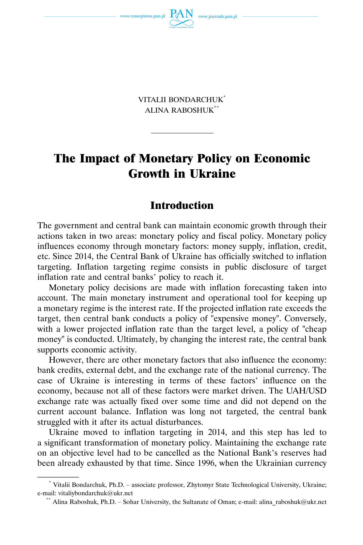

VITALII BONDARCHUK\* ALINA RABOSHUK\*\*

# The Impact of Monetary Policy on Economic Growth in Ukraine

# Introduction

The government and central bank can maintain economic growth through their actions taken in two areas: monetary policy and fiscal policy. Monetary policy influences economy through monetary factors: money supply, inflation, credit, etc. Since 2014, the Central Bank of Ukraine has officially switched to inflation targeting. Inflation targeting regime consists in public disclosure of target inflation rate and central banks' policy to reach it.

Monetary policy decisions are made with inflation forecasting taken into account. The main monetary instrument and operational tool for keeping up a monetary regime is the interest rate. If the projected inflation rate exceeds the target, then central bank conducts a policy of "expensive money". Conversely, with a lower projected inflation rate than the target level, a policy of "cheap money" is conducted. Ultimately, by changing the interest rate, the central bank supports economic activity.

However, there are other monetary factors that also influence the economy: bank credits, external debt, and the exchange rate of the national currency. The case of Ukraine is interesting in terms of these factors' influence on the economy, because not all of these factors were market driven. The UAH/USD exchange rate was actually fixed over some time and did not depend on the current account balance. Inflation was long not targeted, the central bank struggled with it after its actual disturbances.

Ukraine moved to inflation targeting in 2014, and this step has led to a significant transformation of monetary policy. Maintaining the exchange rate on an objective level had to be cancelled as the National Bank's reserves had been already exhausted by that time. Since 1996, when the Ukrainian currency

<sup>\*</sup> Vitalii Bondarchuk, Ph.D. – associate professor, Zhytomyr State Technological University, Ukraine; e-mail: vitaliybondarchuk@ukr.net<br>\*\* Alina Raboshuk, Ph.D. – Sohar University, the Sultanate of Oman; e-mail: alina\_raboshuk@ukr.net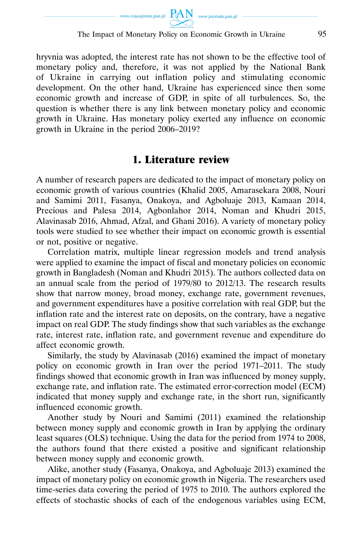

hryvnia was adopted, the interest rate has not shown to be the effective tool of monetary policy and, therefore, it was not applied by the National Bank of Ukraine in carrying out inflation policy and stimulating economic development. On the other hand, Ukraine has experienced since then some economic growth and increase of GDP, in spite of all turbulences. So, the question is whether there is any link between monetary policy and economic growth in Ukraine. Has monetary policy exerted any influence on economic growth in Ukraine in the period 2006–2019?

# 1. Literature review

A number of research papers are dedicated to the impact of monetary policy on economic growth of various countries (Khalid 2005, Amarasekara 2008, Nouri and Samimi 2011, Fasanya, Onakoya, and Agboluaje 2013, Kamaan 2014, Precious and Palesa 2014, Agbonlahor 2014, Noman and Khudri 2015, Alavinasab 2016, Ahmad, Afzal, and Ghani 2016). A variety of monetary policy tools were studied to see whether their impact on economic growth is essential or not, positive or negative.

Correlation matrix, multiple linear regression models and trend analysis were applied to examine the impact of fiscal and monetary policies on economic growth in Bangladesh (Noman and Khudri 2015). The authors collected data on an annual scale from the period of 1979/80 to 2012/13. The research results show that narrow money, broad money, exchange rate, government revenues, and government expenditures have a positive correlation with real GDP, but the inflation rate and the interest rate on deposits, on the contrary, have a negative impact on real GDP. The study findings show that such variables as the exchange rate, interest rate, inflation rate, and government revenue and expenditure do affect economic growth.

Similarly, the study by Alavinasab (2016) examined the impact of monetary policy on economic growth in Iran over the period 1971–2011. The study findings showed that economic growth in Iran was influenced by money supply, exchange rate, and inflation rate. The estimated error-correction model (ECM) indicated that money supply and exchange rate, in the short run, significantly influenced economic growth.

Another study by Nouri and Samimi (2011) examined the relationship between money supply and economic growth in Iran by applying the ordinary least squares (OLS) technique. Using the data for the period from 1974 to 2008, the authors found that there existed a positive and significant relationship between money supply and economic growth.

Alike, another study (Fasanya, Onakoya, and Agboluaje 2013) examined the impact of monetary policy on economic growth in Nigeria. The researchers used time-series data covering the period of 1975 to 2010. The authors explored the effects of stochastic shocks of each of the endogenous variables using ECM,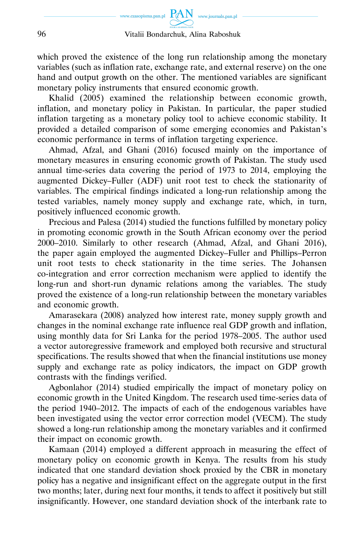which proved the existence of the long run relationship among the monetary variables (such as inflation rate, exchange rate, and external reserve) on the one hand and output growth on the other. The mentioned variables are significant monetary policy instruments that ensured economic growth.

Khalid (2005) examined the relationship between economic growth, inflation, and monetary policy in Pakistan. In particular, the paper studied inflation targeting as a monetary policy tool to achieve economic stability. It provided a detailed comparison of some emerging economies and Pakistan's economic performance in terms of inflation targeting experience.

Ahmad, Afzal, and Ghani (2016) focused mainly on the importance of monetary measures in ensuring economic growth of Pakistan. The study used annual time-series data covering the period of 1973 to 2014, employing the augmented Dickey–Fuller (ADF) unit root test to check the stationarity of variables. The empirical findings indicated a long-run relationship among the tested variables, namely money supply and exchange rate, which, in turn, positively influenced economic growth.

Precious and Palesa (2014) studied the functions fulfilled by monetary policy in promoting economic growth in the South African economy over the period 2000–2010. Similarly to other research (Ahmad, Afzal, and Ghani 2016), the paper again employed the augmented Dickey–Fuller and Phillips–Perron unit root tests to check stationarity in the time series. The Johansen co-integration and error correction mechanism were applied to identify the long-run and short-run dynamic relations among the variables. The study proved the existence of a long-run relationship between the monetary variables and economic growth.

Amarasekara (2008) analyzed how interest rate, money supply growth and changes in the nominal exchange rate influence real GDP growth and inflation, using monthly data for Sri Lanka for the period 1978–2005. The author used a vector autoregressive framework and employed both recursive and structural specifications. The results showed that when the financial institutions use money supply and exchange rate as policy indicators, the impact on GDP growth contrasts with the findings verified.

Agbonlahor (2014) studied empirically the impact of monetary policy on economic growth in the United Kingdom. The research used time-series data of the period 1940–2012. The impacts of each of the endogenous variables have been investigated using the vector error correction model (VECM). The study showed a long-run relationship among the monetary variables and it confirmed their impact on economic growth.

Kamaan (2014) employed a different approach in measuring the effect of monetary policy on economic growth in Kenya. The results from his study indicated that one standard deviation shock proxied by the CBR in monetary policy has a negative and insignificant effect on the aggregate output in the first two months; later, during next four months, it tends to affect it positively but still insignificantly. However, one standard deviation shock of the interbank rate to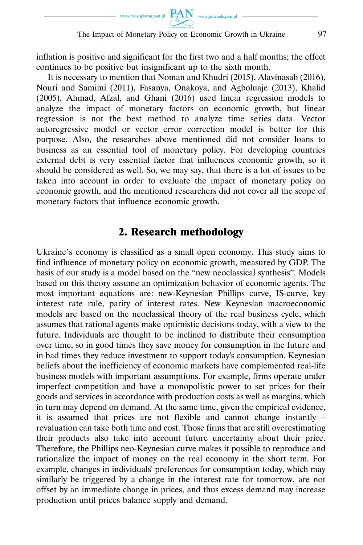

inflation is positive and significant for the first two and a half months; the effect continues to be positive but insignificant up to the sixth month.

It is necessary to mention that Noman and Khudri (2015), Alavinasab (2016), Nouri and Samimi (2011), Fasanya, Onakoya, and Agboluaje (2013), Khalid (2005), Ahmad, Afzal, and Ghani (2016) used linear regression models to analyze the impact of monetary factors on economic growth, but linear regression is not the best method to analyze time series data. Vector autoregressive model or vector error correction model is better for this purpose. Also, the researches above mentioned did not consider loans to business as an essential tool of monetary policy. For developing countries external debt is very essential factor that influences economic growth, so it should be considered as well. So, we may say, that there is a lot of issues to be taken into account in order to evaluate the impact of monetary policy on economic growth, and the mentioned researchers did not cover all the scope of monetary factors that influence economic growth.

# 2. Research methodology

Ukraine's economy is classified as a small open economy. This study aims to find influence of monetary policy on economic growth, measured by GDP. The basis of our study is a model based on the "new neoclassical synthesis". Models based on this theory assume an optimization behavior of economic agents. The most important equations are: new-Keynesian Phillips curve, IS-curve, key interest rate rule, parity of interest rates. New Keynesian macroeconomic models are based on the neoclassical theory of the real business cycle, which assumes that rational agents make optimistic decisions today, with a view to the future. Individuals are thought to be inclined to distribute their consumption over time, so in good times they save money for consumption in the future and in bad times they reduce investment to support today's consumption. Keynesian beliefs about the inefficiency of economic markets have complemented real-life business models with important assumptions. For example, firms operate under imperfect competition and have a monopolistic power to set prices for their goods and services in accordance with production costs as well as margins, which in turn may depend on demand. At the same time, given the empirical evidence, it is assumed that prices are not flexible and cannot change instantly – revaluation can take both time and cost. Those firms that are still overestimating their products also take into account future uncertainty about their price. Therefore, the Phillips neo-Keynesian curve makes it possible to reproduce and rationalize the impact of money on the real economy in the short term. For example, changes in individuals' preferences for consumption today, which may similarly be triggered by a change in the interest rate for tomorrow, are not offset by an immediate change in prices, and thus excess demand may increase production until prices balance supply and demand.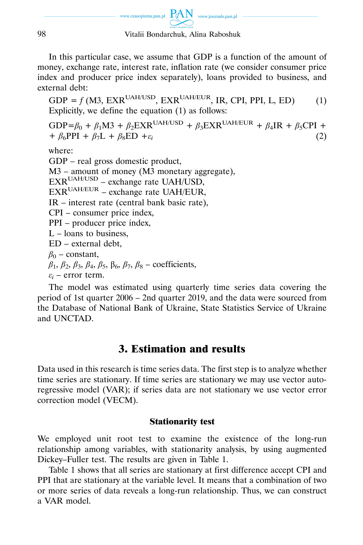

In this particular case, we assume that GDP is a function of the amount of money, exchange rate, interest rate, inflation rate (we consider consumer price index and producer price index separately), loans provided to business, and external debt:

 $GDP = f(M3, EXR<sup>UAH/USD</sup>, EXR<sup>UAH/EUR</sup>, IR, CPI, PPI, L, ED)$  (1) Explicitly, we define the equation (1) as follows:

GDP= $\beta_0$  +  $\beta_1$ M3 +  $\beta_2$ EXR<sup>UAH/USD</sup> +  $\beta_3$ EXR<sup>UAH/EUR</sup> +  $\beta_4$ IR +  $\beta_5$ CPI +  $\beta_6$ PPI +  $\beta_7$ L +  $\beta_8$ ED + $\varepsilon_i$  (2) +  $\beta_6$ PPI +  $\beta_7$ L +  $\beta_8$ ED + $\varepsilon_i$ 

where:

GDP – real gross domestic product, M3 – amount of money (M3 monetary aggregate),  $EXR^{UAH/USD}$  – exchange rate UAH/USD,  $EXR^{UAH/EUR}$  – exchange rate UAH/EUR, IR – interest rate (central bank basic rate), CPI – consumer price index, PPI – producer price index,  $L$  – loans to business. ED – external debt,  $\beta_0$  – constant, *β*1, *β*2, *β*3, *β*4, *β*5, β6, *β*7, *β*8 – coefficients,  $\varepsilon$ <sup>*i*</sup> – error term.

The model was estimated using quarterly time series data covering the period of 1st quarter 2006 – 2nd quarter 2019, and the data were sourced from the Database of National Bank of Ukraine, State Statistics Service of Ukraine and UNCTAD.

# 3. Estimation and results

Data used in this research is time series data. The first step is to analyze whether time series are stationary. If time series are stationary we may use vector autoregressive model (VAR); if series data are not stationary we use vector error correction model (VECM).

### Stationarity test

We employed unit root test to examine the existence of the long-run relationship among variables, with stationarity analysis, by using augmented Dickey–Fuller test. The results are given in Table 1.

Table 1 shows that all series are stationary at first difference accept CPI and PPI that are stationary at the variable level. It means that a combination of two or more series of data reveals a long-run relationship. Thus, we can construct a VAR model.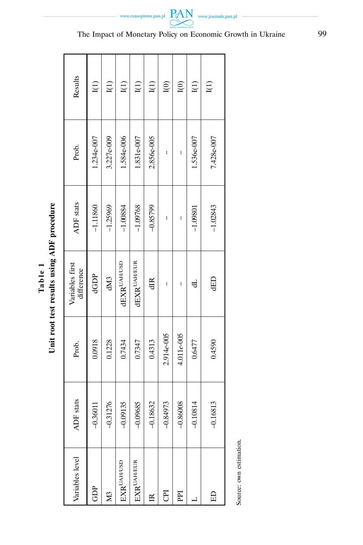| Results                       | I(1)         | I(1)         | I(1)               | I(1)             | I(1)         | I(0)         | I(0)         | I(1)         | I(1)         |
|-------------------------------|--------------|--------------|--------------------|------------------|--------------|--------------|--------------|--------------|--------------|
| Prob.                         | 1.234e-007   | 3.227e-009   | 1.584e-006         | 1.831e-007       | 2.856e-005   | I            | I            | 1.536e-007   | 7.428e-007   |
| <b>ADF</b> stats              | $-1.11860$   | $-1.25969$   | $-1.00884$         | $-1.09768$       | $-0.85799$   | I            | I            | $-1.09801$   | $-1.02843$   |
| Variables first<br>difference | dGDP         | dM3          | <b>dEXRUAH/USD</b> | $dEXR^{UAH/EUR}$ | dIR          | I            | I            | 닝            | <b>GED</b>   |
| Prob.                         | 0.0918       | 0.1228       | 0.7434             | 0.7347           | 0.4313       | 2.914e-005   | 4.011e-005   | 0.6477       | 0.4590       |
| <b>ADF</b> stats              | 0.36011<br>Ţ | 0.31276<br>Ţ | 0.09135<br>Ţ       | 0.09685<br>T     | 0.18632<br>Ţ | 0.84973<br>T | 0.86008<br>l | 0.10814<br>Ţ | 0.16813<br>T |
| /ariables level               | GDP          | ΣÑ           | EXRUAH/USD         | EXRUAH/EUR       |              | 룡            | PPI          |              | 旵            |

Table 1<br>Unit root test results using ADF procedure **Unit root test results using ADF procedure Table 1** 

I

Source: own estimation. Source: own estimation.

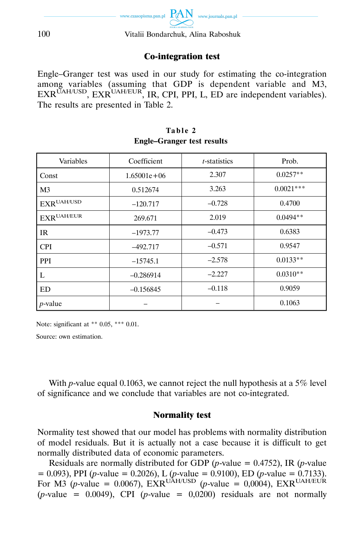

### Co-integration test

Engle–Granger test was used in our study for estimating the co-integration among variables (assuming that GDP is dependent variable and M3, EXRUAH/USD, EXRUAH/EUR, IR, CPI, PPI, L, ED are independent variables). The results are presented in Table 2.

| Variables                            | Coefficient     | <i>t</i> -statistics | Prob.       |
|--------------------------------------|-----------------|----------------------|-------------|
| Const                                | $1.65001e + 06$ | 2.307                | $0.0257**$  |
| M <sub>3</sub>                       | 0.512674        | 3.263                | $0.0021***$ |
| $\text{EXR}^{\text{UAH}/\text{USD}}$ | $-120.717$      | $-0.728$             | 0.4700      |
| $\text{EXR}^{\text{UAH/EUR}}$        | 269.671         | 2.019                | $0.0494**$  |
| <b>IR</b>                            | $-1973.77$      | $-0.473$             | 0.6383      |
| <b>CPI</b>                           | $-492.717$      | $-0.571$             | 0.9547      |
| PPI                                  | $-15745.1$      | $-2.578$             | $0.0133**$  |
| L                                    | $-0.286914$     | $-2.227$             | $0.0310**$  |
| ED                                   | $-0.156845$     | $-0.118$             | 0.9059      |
| $p$ -value                           |                 |                      | 0.1063      |

#### **Table 2 Engle–Granger test results**

Note: significant at \*\* 0.05, \*\*\* 0.01.

Source: own estimation.

With *p*-value equal 0.1063, we cannot reject the null hypothesis at a 5% level of significance and we conclude that variables are not co-integrated.

#### Normality test

Normality test showed that our model has problems with normality distribution of model residuals. But it is actually not a case because it is difficult to get normally distributed data of economic parameters.

Residuals are normally distributed for GDP ( $p$ -value = 0.4752), IR ( $p$ -value = 0.093), PPI (*p*-value = 0.2026), L (*p*-value = 0.9100), ED (*p*-value = 0.7133). For M3 (*p*-value = 0.0067), EXR<sup>UAH/USD</sup> (*p*-value = 0,0004), EXR<sup>UAH/EUR</sup>  $(p$ -value = 0.0049), CPI  $(p$ -value = 0,0200) residuals are not normally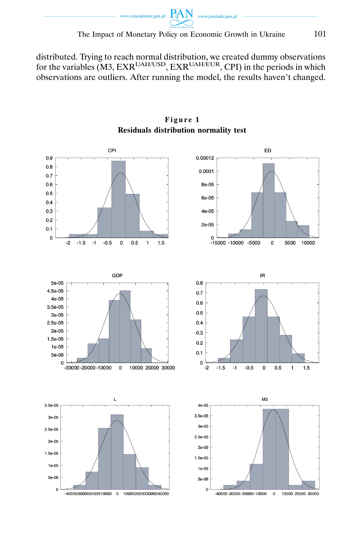

distributed. Trying to reach normal distribution, we created dummy observations for the variables  $(M3, EXR<sup>UAH/USD</sup>, EXR<sup>UAH/EUR</sup>, CPI)$  in the periods in which observations are outliers. After running the model, the results haven't changed.



**Figure 1 Residuals distribution normality test**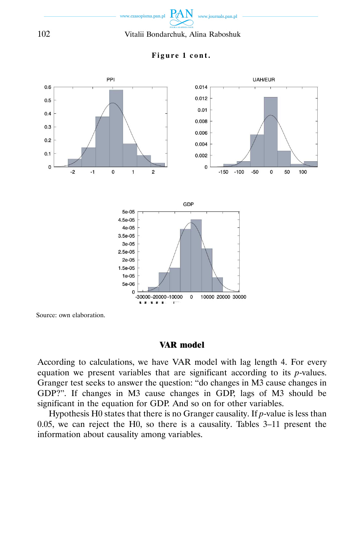



### **Figure 1 cont.**

Source: own elaboration.

### VAR model

According to calculations, we have VAR model with lag length 4. For every equation we present variables that are significant according to its *p*-values. Granger test seeks to answer the question: "do changes in M3 cause changes in GDP?". If changes in M3 cause changes in GDP, lags of M3 should be significant in the equation for GDP. And so on for other variables.

Hypothesis H0 states that there is no Granger causality. If *p*-value is less than 0.05, we can reject the H0, so there is a causality. Tables 3–11 present the information about causality among variables.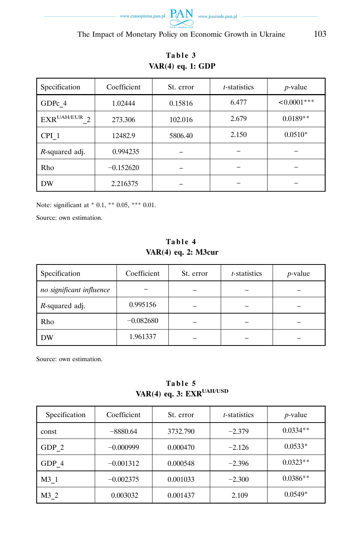

| Specification                          | Coefficient | St. error | <i>t</i> -statistics | $p$ -value     |
|----------------------------------------|-------------|-----------|----------------------|----------------|
| GDPc 4                                 | 1.02444     | 0.15816   | 6.477                | $< 0.0001$ *** |
| $\text{EXR}^{\text{UAH/EUR}}$ $\gamma$ | 273.306     | 102.016   | 2.679                | $0.0189**$     |
| CPI <sub>1</sub>                       | 12482.9     | 5806.40   | 2.150                | $0.0510*$      |
| <i>R</i> -squared adj.                 | 0.994235    |           |                      |                |
| Rho                                    | $-0.152620$ |           |                      |                |
| <b>DW</b>                              | 2.216375    |           |                      |                |

# **Table 3 VAR(4) eq. 1: GDP**

Note: significant at \* 0.1, \*\* 0.05, \*\*\* 0.01.

Source: own estimation.

### **Table 4 VAR(4) eq. 2: M3cur**

| Specification            | Coefficient | St. error | <i>t</i> -statistics | $p$ -value |
|--------------------------|-------------|-----------|----------------------|------------|
| no significant influence |             |           |                      |            |
| R-squared adj.           | 0.995156    |           |                      |            |
| Rho                      | $-0.082680$ |           |                      |            |
| <b>DW</b>                | 1.961337    |           |                      |            |

**Table 5 VAR(4) eq. 3: EXRUAH/USD** 

| Specification | Coefficient | St. error | <i>t</i> -statistics | $p$ -value |
|---------------|-------------|-----------|----------------------|------------|
| const         | $-8880.64$  | 3732.790  | $-2.379$             | $0.0334**$ |
| GDP 2         | $-0.000999$ | 0.000470  | $-2.126$             | $0.0533*$  |
| GDP 4         | $-0.001312$ | 0.000548  | $-2.396$             | $0.0323**$ |
| M3 1          | $-0.002375$ | 0.001033  | $-2.300$             | $0.0386**$ |
| M3 2          | 0.003032    | 0.001437  | 2.109                | $0.0549*$  |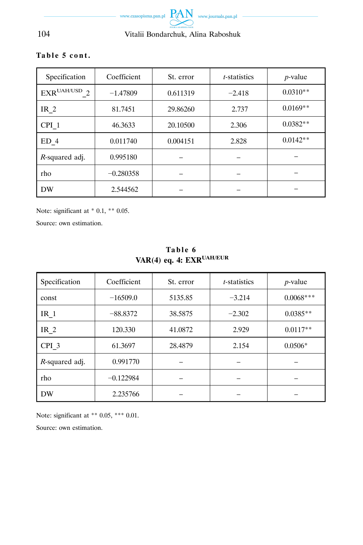

| Specification    | Coefficient | St. error | <i>t</i> -statistics | <i>p</i> -value |
|------------------|-------------|-----------|----------------------|-----------------|
| $EXR^{UAH/USD}$  | $-1.47809$  | 0.611319  | $-2.418$             | $0.0310**$      |
| IR $2$           | 81.7451     | 29.86260  | 2.737                | $0.0169**$      |
| CPI <sub>1</sub> | 46.3633     | 20.10500  | 2.306                | $0.0382**$      |
| ED <sub>4</sub>  | 0.011740    | 0.004151  | 2.828                | $0.0142**$      |

*R*-squared adj. 0.995180 – – – – – – – –

rho −0.280358 – – – – – – DW 2.544562 – – – – – – –

### **Table 5 cont.**

Note: significant at  $*$  0.1,  $**$  0.05.

Source: own estimation.

| Specification    | Coefficient | St. error | <i>t</i> -statistics | $p$ -value  |
|------------------|-------------|-----------|----------------------|-------------|
| const            | $-16509.0$  | 5135.85   | $-3.214$             | $0.0068***$ |
| IR $1$           | $-88.8372$  | 38.5875   | $-2.302$             | $0.0385**$  |
| IR $2$           | 120.330     | 41.0872   | 2.929                | $0.0117**$  |
| CPI <sub>3</sub> | 61.3697     | 28.4879   | 2.154                | $0.0506*$   |
| R-squared adj.   | 0.991770    |           |                      |             |
| rho              | $-0.122984$ |           |                      |             |
| <b>DW</b>        | 2.235766    |           |                      |             |

# **Table 6 VAR(4) eq. 4: EXRUAH/EUR**

Note: significant at \*\* 0.05, \*\*\* 0.01.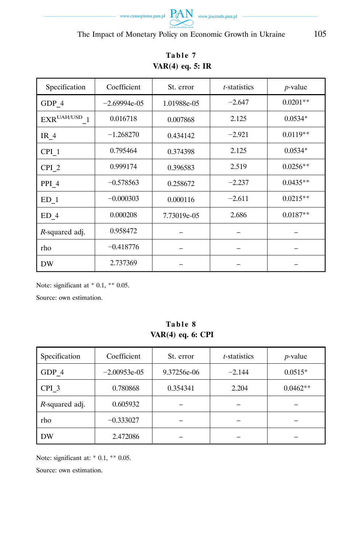

| Specification     | Coefficient    | St. error   | <i>t</i> -statistics | $p$ -value |
|-------------------|----------------|-------------|----------------------|------------|
| GDP 4             | $-2.69994e-05$ | 1.01988e-05 | $-2.647$             | $0.0201**$ |
| $EXR^{UAH/USD}$ 1 | 0.016718       | 0.007868    | 2.125                | $0.0534*$  |
| IR $4$            | $-1.268270$    | 0.434142    | $-2.921$             | $0.0119**$ |
| CPI <sub>1</sub>  | 0.795464       | 0.374398    | 2.125                | $0.0534*$  |
| CPI <sub>2</sub>  | 0.999174       | 0.396583    | 2.519                | $0.0256**$ |
| PPI <sub>4</sub>  | $-0.578563$    | 0.258672    | $-2.237$             | $0.0435**$ |
| $ED_1$            | $-0.000303$    | 0.000116    | $-2.611$             | $0.0215**$ |
| $ED_4$            | 0.000208       | 7.73019e-05 | 2.686                | $0.0187**$ |
| R-squared adj.    | 0.958472       |             | —                    |            |
| rho               | $-0.418776$    |             |                      |            |
| <b>DW</b>         | 2.737369       |             |                      |            |

# **Table 7 VAR(4) eq. 5: IR**

Note: significant at  $*$  0.1,  $**$  0.05.

Source: own estimation.

### **Table 8 VAR(4) eq. 6: CPI**

| Specification          | Coefficient    | St. error   | <i>t</i> -statistics | $p$ -value |
|------------------------|----------------|-------------|----------------------|------------|
| GDP 4                  | $-2.00953e-05$ | 9.37256e-06 | $-2.144$             | $0.0515*$  |
| CPI <sub>3</sub>       | 0.780868       | 0.354341    | 2.204                | $0.0462**$ |
| <i>R</i> -squared adj. | 0.605932       |             |                      |            |
| rho                    | $-0.333027$    |             |                      |            |
| DW                     | 2.472086       |             |                      |            |

Note: significant at: \* 0.1, \*\* 0.05.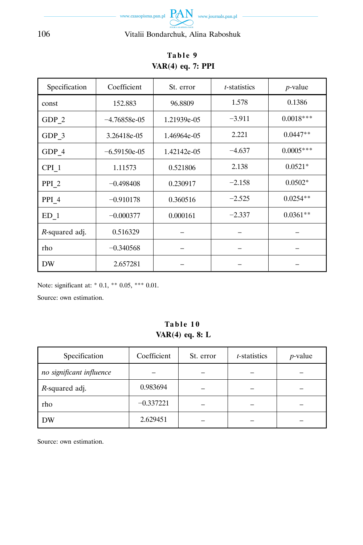

| Specification    | Coefficient    | St. error   | <i>t</i> -statistics | $p$ -value  |
|------------------|----------------|-------------|----------------------|-------------|
| const            | 152.883        | 96.8809     | 1.578                | 0.1386      |
| GDP 2            | $-4.76858e-05$ | 1.21939e-05 | $-3.911$             | $0.0018***$ |
| $GDP_3$          | 3.26418e-05    | 1.46964e-05 | 2.221                | $0.0447**$  |
| GDP 4            | $-6.59150e-05$ | 1.42142e-05 | $-4.637$             | $0.0005***$ |
| $CPI_1$          | 1.11573        | 0.521806    | 2.138                | $0.0521*$   |
| PPI <sub>2</sub> | $-0.498408$    | 0.230917    | $-2.158$             | $0.0502*$   |
| PPI <sub>4</sub> | $-0.910178$    | 0.360516    | $-2.525$             | $0.0254**$  |
| $ED_1$           | $-0.000377$    | 0.000161    | $-2.337$             | $0.0361**$  |
| R-squared adj.   | 0.516329       |             |                      |             |
| rho              | $-0.340568$    |             |                      |             |
| <b>DW</b>        | 2.657281       |             |                      |             |

# **Table 9 VAR(4) eq. 7: PPI**

Note: significant at: \* 0.1, \*\* 0.05, \*\*\* 0.01.

Source: own estimation.

### **Table 10 VAR(4) eq. 8: L**

| Specification            | Coefficient | St. error | <i>t</i> -statistics | $p$ -value |
|--------------------------|-------------|-----------|----------------------|------------|
| no significant influence |             |           |                      |            |
| <i>R</i> -squared adj.   | 0.983694    |           |                      |            |
| rho                      | $-0.337221$ |           |                      |            |
| DW                       | 2.629451    |           |                      |            |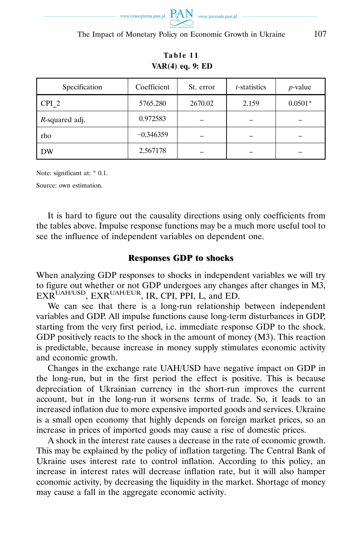

**VAR(4) eq. 9: ED**  Specification Coefficient St. error *t*-statistics *p*-value CPI\_2 5765.280 2670.02 2.159 0.0501\*

**Table 11** 

rho −0.346359 – – – – – –

DW 2.567178 – – – – –

Note: significant at: \* 0.1.

*R*-squared adj. 0.972583

Source: own estimation.

It is hard to figure out the causality directions using only coefficients from the tables above. Impulse response functions may be a much more useful tool to see the influence of independent variables on dependent one.

#### Responses GDP to shocks

When analyzing GDP responses to shocks in independent variables we will try to figure out whether or not GDP undergoes any changes after changes in M3,  $EXR^{UAH/USD}$ ,  $EXR^{UAH/EUR}$ , IR, CPI, PPI, L, and ED.

We can see that there is a long-run relationship between independent variables and GDP. All impulse functions cause long-term disturbances in GDP, starting from the very first period, i.e. immediate response GDP to the shock. GDP positively reacts to the shock in the amount of money (M3). This reaction is predictable, because increase in money supply stimulates economic activity and economic growth.

Changes in the exchange rate UAH/USD have negative impact on GDP in the long-run, but in the first period the effect is positive. This is because depreciation of Ukrainian currency in the short-run improves the current account, but in the long-run it worsens terms of trade. So, it leads to an increased inflation due to more expensive imported goods and services. Ukraine is a small open economy that highly depends on foreign market prices, so an increase in prices of imported goods may cause a rise of domestic prices.

A shock in the interest rate causes a decrease in the rate of economic growth. This may be explained by the policy of inflation targeting. The Central Bank of Ukraine uses interest rate to control inflation. According to this policy, an increase in interest rates will decrease inflation rate, but it will also hamper economic activity, by decreasing the liquidity in the market. Shortage of money may cause a fall in the aggregate economic activity.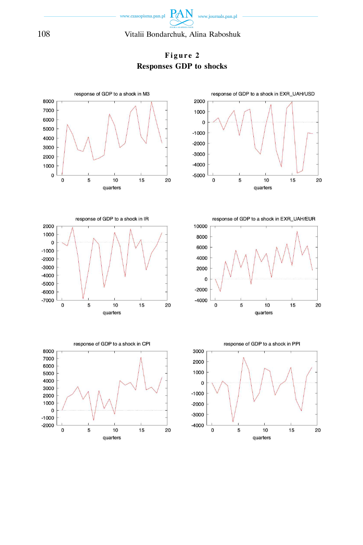

**Figure 2 Responses GDP to shocks** 

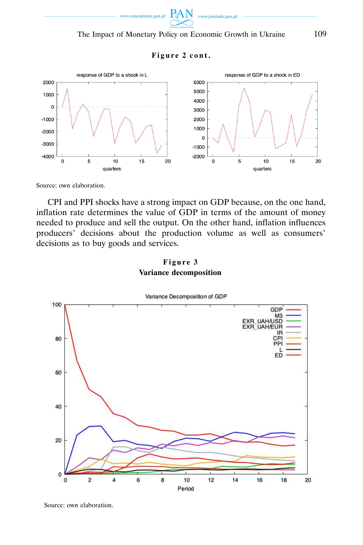

### **Figure 2 cont.**



Source: own elaboration.

CPI and PPI shocks have a strong impact on GDP because, on the one hand, inflation rate determines the value of GDP in terms of the amount of money needed to produce and sell the output. On the other hand, inflation influences producers' decisions about the production volume as well as consumers' decisions as to buy goods and services.

### **Figure 3 Variance decomposition**



Source: own elaboration.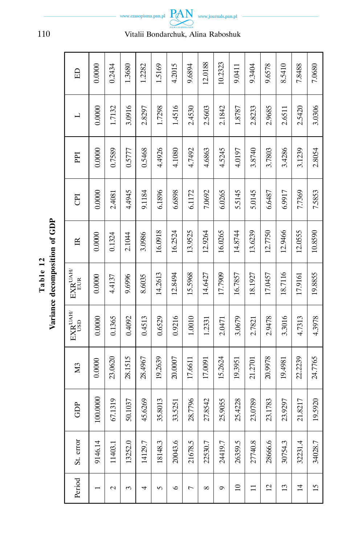|                     | Ę<br>Ē<br>I |
|---------------------|-------------|
| abl<br>$\mathbf{F}$ | Ē           |
|                     | ်<br>Ξ<br>Ē |

| 日                                           | 0.0000                   | 0.2434              | 1.3680       | 1.2282       | 1.5169  | 4.2015  | 9.6894  | 12.0188    | 10.2323 | 9.0411   | 9.3404      | 9.6578         | 8.5410              | 7.8488         | 7.0680          |
|---------------------------------------------|--------------------------|---------------------|--------------|--------------|---------|---------|---------|------------|---------|----------|-------------|----------------|---------------------|----------------|-----------------|
| ᆜ                                           | 0.0000                   | 1.7132              | 3.0916       | 2.8297       | 1.7298  | 1.4516  | 2.4530  | 2.5603     | 2.1842  | 1.8787   | 2.8233      | 2.9685         | 2.6511              | 2.5420         | 3.0306          |
| PPI                                         | 0.0000                   | 0.7589              | 0.5777       | 0.5468       | 4.4926  | 4.1080  | 4.7492  | 4,6863     | 4.5245  | 4.0197   | 3.8740      | 3.7803         | 3.4286              | 3.1239         | 2.8054          |
| E                                           | 0.0000                   | 2.4081              | 4.4945       | 9.1184       | 6.1896  | 6.6898  | 6.1172  | 7.0692     | 6.0265  | 5.5145   | 5.0145      | 6.6487         | 6.9917              | 7.7369         | 7.5853          |
| $\mathbb{R}$                                | 0.0000                   | 0.1324              | 2.1044       | 3.0986       | 16.0918 | 16.2524 | 13.9525 | 12.9264    | 16.0265 | 14.8744  | 13.6239     | 12.7750        | 12.9466             | 12.0555        | 10.8590         |
| $\mathbf{EXR}^{\text{UAH}}$<br>EUR          | 0.0000                   | 4.4137              | 9.6996       | 8.6035       | 14.2613 | 12.8494 | 15.5968 | 14.6427    | 17.7909 | 16.7857  | 18.1927     | 17.0457        | 18.7116             | 17.9161        | 19.8855         |
| $\mathbf{EXR}^{\text{UAH}}$<br><b>CISLI</b> | 0.0000                   | 0.1365              | 0.4092       | 0.4513       | 0.6529  | 0.9216  | 1.0010  | 1.2331     | 2.0471  | 3.0679   | 2.7821      | 2.9478         | 3.3016              | 4.7313         | 4.3978          |
| M <sub>3</sub>                              | 0.0000                   | 23.0620             | 28.1515      | 28.4967      | 19.2639 | 20.0007 | 17.6611 | 17.0091    | 15.2624 | 19.3951  | 21.2701     | 20.9978        | 19.4981             | 22.2239        | 24.7765         |
| È<br>T                                      | .0000<br>$100$ .         | 1319<br><b>67.1</b> | 1037<br>50.1 | 6269<br>45.6 | 35.8013 | 33.5251 | 28.7796 | 27.8542    | 25.9055 | 25.4228  | 0789<br>23( | 1783<br>23.1   | <b>L676</b><br>23.9 | 21.8217        | 19.5920         |
| St. error                                   | 9146.14                  | 11403.1             | 13252.0      | 14129.7      | 18148.3 | 20043.6 | 21678.5 | 22530.7    | 24419.7 | 26359.5  | 27740.8     | 28666.6        | 30754.3             | 32231.4        | 34028.7         |
| Period                                      | $\overline{\phantom{0}}$ | $\mathcal{L}$       | 3            | 4            | 5       | $\circ$ | 1       | $^{\circ}$ | G       | $\Omega$ | $\Xi$       | $\overline{c}$ | 13                  | $\overline{1}$ | $\overline{15}$ |



r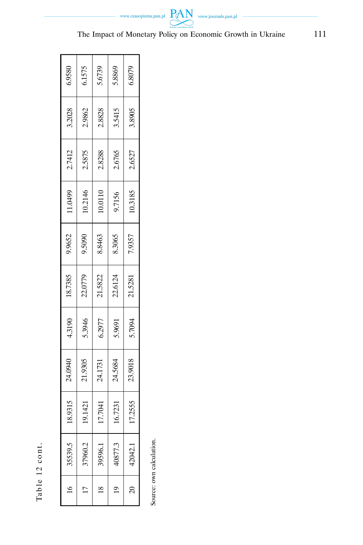Table 12 cont. Table 12 cont.

| 6.9580  | 6.1575  | 5.6739        | 5.8869        | 6.8079         |
|---------|---------|---------------|---------------|----------------|
| 3.2028  | 2.9862  | 2.8828        | 3.5415        | 3.8905         |
| 2.7412  | 2.5875  | 2.8288        | 2.6765        | 2.6527         |
| 1.0499  | 10.2146 | 10.0110       | 9.7156        | 10.3185        |
| 9.9652  | 9.5090  | 8.8463        | 8.3065        | 7.9357         |
| 18.7385 | 22.0779 | 21.5822       | 22.6124       | 21.5281        |
| 4.3190  | 5.3946  | 6.2977        | 5.9691        | 5.7094         |
| 24.0940 | 21.9305 | 24.1731       | 24.5684       | 23.9018        |
| 18.9315 | 19.1421 | 17.7041       | 16.7231       | 17.2555        |
| 35539.5 | 37960.2 | 39596.1       | 40877.3       | 42042.1        |
|         |         | $\frac{8}{1}$ | $\frac{1}{2}$ | $\overline{c}$ |

Source: own calculation. Source: own calculation.

www.czasopisma.pan.pl  $PAN$  www.journals.pan.pl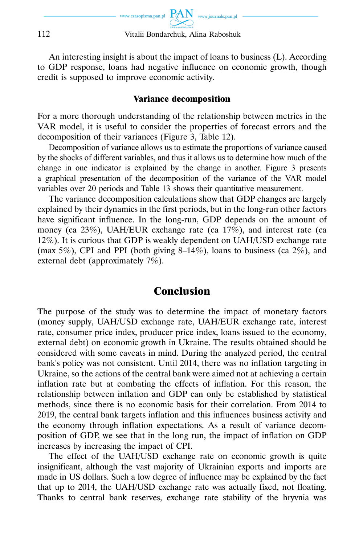

An interesting insight is about the impact of loans to business (L). According to GDP response, loans had negative influence on economic growth, though credit is supposed to improve economic activity.

#### Variance decomposition

For a more thorough understanding of the relationship between metrics in the VAR model, it is useful to consider the properties of forecast errors and the decomposition of their variances (Figure 3, Table 12).

Decomposition of variance allows us to estimate the proportions of variance caused by the shocks of different variables, and thus it allows us to determine how much of the change in one indicator is explained by the change in another. Figure 3 presents a graphical presentation of the decomposition of the variance of the VAR model variables over 20 periods and Table 13 shows their quantitative measurement.

The variance decomposition calculations show that GDP changes are largely explained by their dynamics in the first periods, but in the long-run other factors have significant influence. In the long-run, GDP depends on the amount of money (ca  $23\%$ ), UAH/EUR exchange rate (ca  $17\%$ ), and interest rate (ca 12%). It is curious that GDP is weakly dependent on UAH/USD exchange rate (max  $5\%$ ), CPI and PPI (both giving 8–14%), loans to business (ca  $2\%$ ), and external debt (approximately 7%).

# Conclusion

The purpose of the study was to determine the impact of monetary factors (money supply, UAH/USD exchange rate, UAH/EUR exchange rate, interest rate, consumer price index, producer price index, loans issued to the economy, external debt) on economic growth in Ukraine. The results obtained should be considered with some caveats in mind. During the analyzed period, the central bank's policy was not consistent. Until 2014, there was no inflation targeting in Ukraine, so the actions of the central bank were aimed not at achieving a certain inflation rate but at combating the effects of inflation. For this reason, the relationship between inflation and GDP can only be established by statistical methods, since there is no economic basis for their correlation. From 2014 to 2019, the central bank targets inflation and this influences business activity and the economy through inflation expectations. As a result of variance decomposition of GDP, we see that in the long run, the impact of inflation on GDP increases by increasing the impact of CPI.

The effect of the UAH/USD exchange rate on economic growth is quite insignificant, although the vast majority of Ukrainian exports and imports are made in US dollars. Such a low degree of influence may be explained by the fact that up to 2014, the UAH/USD exchange rate was actually fixed, not floating. Thanks to central bank reserves, exchange rate stability of the hryvnia was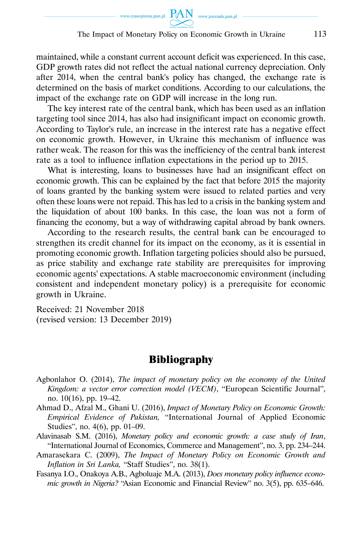maintained, while a constant current account deficit was experienced. In this case, GDP growth rates did not reflect the actual national currency depreciation. Only after 2014, when the central bank's policy has changed, the exchange rate is determined on the basis of market conditions. According to our calculations, the impact of the exchange rate on GDP will increase in the long run.

The key interest rate of the central bank, which has been used as an inflation targeting tool since 2014, has also had insignificant impact on economic growth. According to Taylor's rule, an increase in the interest rate has a negative effect on economic growth. However, in Ukraine this mechanism of influence was rather weak. The reason for this was the inefficiency of the central bank interest rate as a tool to influence inflation expectations in the period up to 2015.

What is interesting, loans to businesses have had an insignificant effect on economic growth. This can be explained by the fact that before 2015 the majority of loans granted by the banking system were issued to related parties and very often these loans were not repaid. This has led to a crisis in the banking system and the liquidation of about 100 banks. In this case, the loan was not a form of financing the economy, but a way of withdrawing capital abroad by bank owners.

According to the research results, the central bank can be encouraged to strengthen its credit channel for its impact on the economy, as it is essential in promoting economic growth. Inflation targeting policies should also be pursued, as price stability and exchange rate stability are prerequisites for improving economic agents' expectations. A stable macroeconomic environment (including consistent and independent monetary policy) is a prerequisite for economic growth in Ukraine.

Received: 21 November 2018 (revised version: 13 December 2019)

# **Bibliography**

- Agbonlahor O. (2014), *The impact of monetary policy on the economy of the United Kingdom: a vector error correction model (VECM)*, "European Scientific Journal", no. 10(16), pp. 19–42.
- Ahmad D., Afzal M., Ghani U. (2016), *Impact of Monetary Policy on Economic Growth: Empirical Evidence of Pakistan,* "International Journal of Applied Economic Studies", no. 4(6), pp. 01–09.
- Alavinasab S.M. (2016), *Monetary policy and economic growth: a case study of Iran*, "International Journal of Economics, Commerce and Management", no. 3, pp. 234–244.
- Amarasekara C. (2009), *The Impact of Monetary Policy on Economic Growth and Inflation in Sri Lanka,* "Staff Studies", no. 38(1).
- Fasanya I.O., Onakoya A.B., Agboluaje M.A. (2013), *Does monetary policy influence economic growth in Nigeria?* "Asian Economic and Financial Review" no. 3(5), pp. 635–646.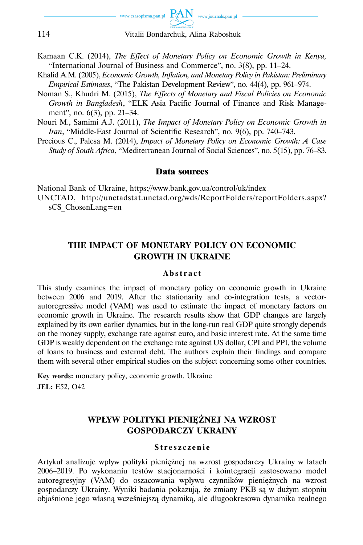

- Kamaan C.K. (2014), *The Effect of Monetary Policy on Economic Growth in Kenya,*  "International Journal of Business and Commerce", no. 3(8), pp. 11–24.
- Khalid A.M. (2005), *Economic Growth, Inflation, and Monetary Policy in Pakistan: Preliminary Empirical Estimates*, "The Pakistan Development Review", no. 44(4), pp. 961–974.
- Noman S., Khudri M. (2015), *The Effects of Monetary and Fiscal Policies on Economic Growth in Bangladesh*, "ELK Asia Pacific Journal of Finance and Risk Management", no. 6(3), pp. 21–34.
- Nouri M., Samimi A.J. (2011), *The Impact of Monetary Policy on Economic Growth in Iran*, "Middle-East Journal of Scientific Research", no. 9(6), pp. 740–743.
- Precious C., Palesa M. (2014), *Impact of Monetary Policy on Economic Growth: A Case Study of South Africa*, "Mediterranean Journal of Social Sciences", no. 5(15), pp. 76–83.

#### Data sources

National Bank of Ukraine, https://www.bank.gov.ua/control/uk/index UNCTAD, http://unctadstat.unctad.org/wds/ReportFolders/reportFolders.aspx?

sCS\_ChosenLang=en

### **THE IMPACT OF MONETARY POLICY ON ECONOMIC GROWTH IN UKRAINE**

#### **Abstract**

This study examines the impact of monetary policy on economic growth in Ukraine between 2006 and 2019. After the stationarity and co-integration tests, a vectorautoregressive model (VAM) was used to estimate the impact of monetary factors on economic growth in Ukraine. The research results show that GDP changes are largely explained by its own earlier dynamics, but in the long-run real GDP quite strongly depends on the money supply, exchange rate against euro, and basic interest rate. At the same time GDP is weakly dependent on the exchange rate against US dollar, CPI and PPI, the volume of loans to business and external debt. The authors explain their findings and compare them with several other empirical studies on the subject concerning some other countries.

**Key words:** monetary policy, economic growth, Ukraine **JEL:** E52, O42

# **WPŁYW POLITYKI PIENIĘŻNEJ NA WZROST GOSPODARCZY UKRAINY**

#### **Streszczenie**

Artykuł analizuje wpływ polityki pieniężnej na wzrost gospodarczy Ukrainy w latach 2006–2019. Po wykonaniu testów stacjonarności i kointegracji zastosowano model autoregresyjny (VAM) do oszacowania wpływu czynników pieniężnych na wzrost gospodarczy Ukrainy. Wyniki badania pokazują, że zmiany PKB są w dużym stopniu objaśnione jego własną wcześniejszą dynamiką, ale długookresowa dynamika realnego